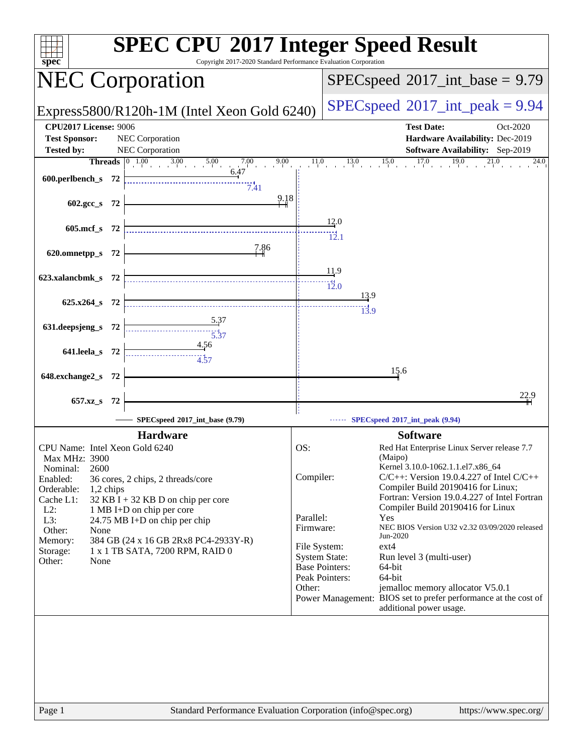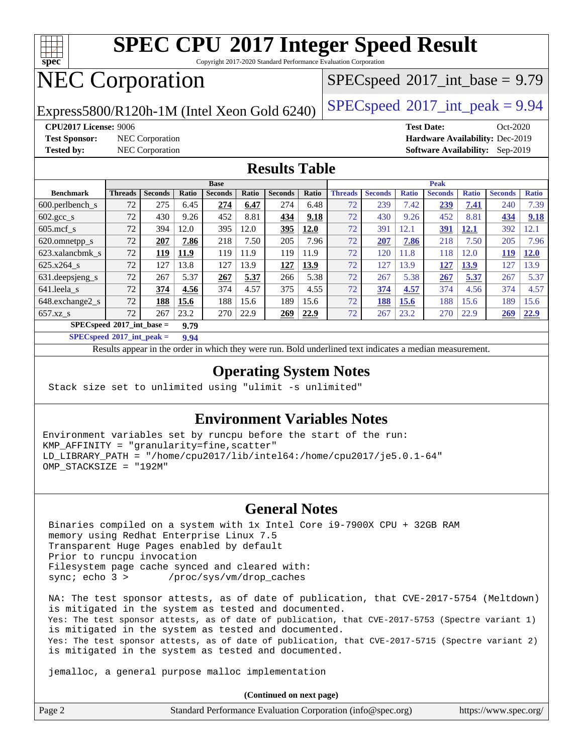

Copyright 2017-2020 Standard Performance Evaluation Corporation

## NEC Corporation

 $SPECspeed^{\circledcirc}2017\_int\_base = 9.79$  $SPECspeed^{\circledcirc}2017\_int\_base = 9.79$ 

Express5800/R120h-1M (Intel Xeon Gold 6240) [SPECspeed](http://www.spec.org/auto/cpu2017/Docs/result-fields.html#SPECspeed2017intpeak)®2017\_int\_peak =  $9.94$ 

**[Test Sponsor:](http://www.spec.org/auto/cpu2017/Docs/result-fields.html#TestSponsor)** NEC Corporation **[Hardware Availability:](http://www.spec.org/auto/cpu2017/Docs/result-fields.html#HardwareAvailability)** Dec-2019

**[CPU2017 License:](http://www.spec.org/auto/cpu2017/Docs/result-fields.html#CPU2017License)** 9006 **[Test Date:](http://www.spec.org/auto/cpu2017/Docs/result-fields.html#TestDate)** Oct-2020 **[Tested by:](http://www.spec.org/auto/cpu2017/Docs/result-fields.html#Testedby)** NEC Corporation **[Software Availability:](http://www.spec.org/auto/cpu2017/Docs/result-fields.html#SoftwareAvailability)** Sep-2019

## **[Results Table](http://www.spec.org/auto/cpu2017/Docs/result-fields.html#ResultsTable)**

|                                            | <b>Base</b>    |                |              |                |       |                | <b>Peak</b> |                |                |              |                |              |                |              |
|--------------------------------------------|----------------|----------------|--------------|----------------|-------|----------------|-------------|----------------|----------------|--------------|----------------|--------------|----------------|--------------|
| <b>Benchmark</b>                           | <b>Threads</b> | <b>Seconds</b> | <b>Ratio</b> | <b>Seconds</b> | Ratio | <b>Seconds</b> | Ratio       | <b>Threads</b> | <b>Seconds</b> | <b>Ratio</b> | <b>Seconds</b> | <b>Ratio</b> | <b>Seconds</b> | <b>Ratio</b> |
| 600.perlbench s                            | 72             | 275            | 6.45         | 274            | 6.47  | 274            | 6.48        | 72             | 239            | 7.42         | 239            | 7.41         | 240            | 7.39         |
| $602 \text{.} \text{gcc}\text{.}$ s        | 72             | 430            | 9.26         | 452            | 8.81  | 434            | 9.18        | 72             | 430            | 9.26         | 452            | 8.81         | 434            | 9.18         |
| $605$ .mcf s                               | 72             | 394            | 12.0         | 395            | 12.0  | 395            | 12.0        | 72             | 391            | 12.1         | 391            | 12.1         | 392            | 12.1         |
| 620.omnetpp_s                              | 72             | 207            | 7.86         | 218            | 7.50  | 205            | 7.96        | 72             | 207            | 7.86         | 218            | 7.50         | 205            | 7.96         |
| 623.xalancbmk s                            | 72             | 119            | 11.9         | 119            | 11.9  | 119            | 11.9        | 72             | 120            | 11.8         | 118            | 12.0         | 119            | 12.0         |
| $625.x264$ s                               | 72             | 127            | 13.8         | 127            | 13.9  | 127            | 13.9        | 72             | 127            | 13.9         | 127            | 13.9         | 127            | 13.9         |
| 631.deepsjeng_s                            | 72             | 267            | 5.37         | 267            | 5.37  | 266            | 5.38        | 72             | 267            | 5.38         | 267            | 5.37         | 267            | 5.37         |
| 641.leela s                                | 72             | 374            | 4.56         | 374            | 4.57  | 375            | 4.55        | 72             | 374            | 4.57         | 374            | 4.56         | 374            | 4.57         |
| 648.exchange2_s                            | 72             | 188            | 15.6         | 188            | 15.6  | 189            | 15.6        | 72             | 188            | 15.6         | 188            | 15.6         | 189            | 15.6         |
| $657.xz$ s                                 | 72             | 267            | 23.2         | 270            | 22.9  | 269            | 22.9        | 72             | 267            | 23.2         | 270            | 22.9         | 269            | 22.9         |
| $SPECspeed^{\circ}2017$ int base =<br>9.79 |                |                |              |                |       |                |             |                |                |              |                |              |                |              |

**[SPECspeed](http://www.spec.org/auto/cpu2017/Docs/result-fields.html#SPECspeed2017intpeak)[2017\\_int\\_peak =](http://www.spec.org/auto/cpu2017/Docs/result-fields.html#SPECspeed2017intpeak) 9.94**

Results appear in the [order in which they were run.](http://www.spec.org/auto/cpu2017/Docs/result-fields.html#RunOrder) Bold underlined text [indicates a median measurement](http://www.spec.org/auto/cpu2017/Docs/result-fields.html#Median).

## **[Operating System Notes](http://www.spec.org/auto/cpu2017/Docs/result-fields.html#OperatingSystemNotes)**

Stack size set to unlimited using "ulimit -s unlimited"

### **[Environment Variables Notes](http://www.spec.org/auto/cpu2017/Docs/result-fields.html#EnvironmentVariablesNotes)**

Environment variables set by runcpu before the start of the run: KMP\_AFFINITY = "granularity=fine,scatter" LD\_LIBRARY\_PATH = "/home/cpu2017/lib/intel64:/home/cpu2017/je5.0.1-64" OMP STACKSIZE = "192M"

### **[General Notes](http://www.spec.org/auto/cpu2017/Docs/result-fields.html#GeneralNotes)**

 Binaries compiled on a system with 1x Intel Core i9-7900X CPU + 32GB RAM memory using Redhat Enterprise Linux 7.5 Transparent Huge Pages enabled by default Prior to runcpu invocation Filesystem page cache synced and cleared with: sync; echo 3 > /proc/sys/vm/drop\_caches

 NA: The test sponsor attests, as of date of publication, that CVE-2017-5754 (Meltdown) is mitigated in the system as tested and documented. Yes: The test sponsor attests, as of date of publication, that CVE-2017-5753 (Spectre variant 1) is mitigated in the system as tested and documented. Yes: The test sponsor attests, as of date of publication, that CVE-2017-5715 (Spectre variant 2) is mitigated in the system as tested and documented.

jemalloc, a general purpose malloc implementation

**(Continued on next page)**

| Page 2<br>Standard Performance Evaluation Corporation (info@spec.org) | https://www.spec.org/ |
|-----------------------------------------------------------------------|-----------------------|
|-----------------------------------------------------------------------|-----------------------|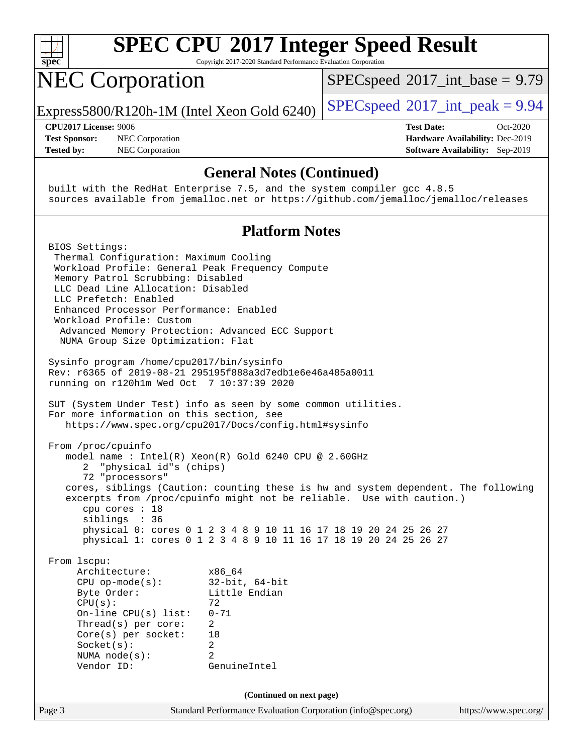

Copyright 2017-2020 Standard Performance Evaluation Corporation

## NEC Corporation

 $SPECspeed^{\circ}2017\_int\_base = 9.79$  $SPECspeed^{\circ}2017\_int\_base = 9.79$ 

Express5800/R120h-1M (Intel Xeon Gold 6240) [SPECspeed](http://www.spec.org/auto/cpu2017/Docs/result-fields.html#SPECspeed2017intpeak)®2017\_int\_peak =  $9.94$ 

**[Test Sponsor:](http://www.spec.org/auto/cpu2017/Docs/result-fields.html#TestSponsor)** NEC Corporation **[Hardware Availability:](http://www.spec.org/auto/cpu2017/Docs/result-fields.html#HardwareAvailability)** Dec-2019 **[Tested by:](http://www.spec.org/auto/cpu2017/Docs/result-fields.html#Testedby)** NEC Corporation **[Software Availability:](http://www.spec.org/auto/cpu2017/Docs/result-fields.html#SoftwareAvailability)** Sep-2019

**[CPU2017 License:](http://www.spec.org/auto/cpu2017/Docs/result-fields.html#CPU2017License)** 9006 **[Test Date:](http://www.spec.org/auto/cpu2017/Docs/result-fields.html#TestDate)** Oct-2020

#### **[General Notes \(Continued\)](http://www.spec.org/auto/cpu2017/Docs/result-fields.html#GeneralNotes)**

 built with the RedHat Enterprise 7.5, and the system compiler gcc 4.8.5 sources available from jemalloc.net or <https://github.com/jemalloc/jemalloc/releases>

### **[Platform Notes](http://www.spec.org/auto/cpu2017/Docs/result-fields.html#PlatformNotes)**

Page 3 Standard Performance Evaluation Corporation [\(info@spec.org\)](mailto:info@spec.org) <https://www.spec.org/> BIOS Settings: Thermal Configuration: Maximum Cooling Workload Profile: General Peak Frequency Compute Memory Patrol Scrubbing: Disabled LLC Dead Line Allocation: Disabled LLC Prefetch: Enabled Enhanced Processor Performance: Enabled Workload Profile: Custom Advanced Memory Protection: Advanced ECC Support NUMA Group Size Optimization: Flat Sysinfo program /home/cpu2017/bin/sysinfo Rev: r6365 of 2019-08-21 295195f888a3d7edb1e6e46a485a0011 running on r120h1m Wed Oct 7 10:37:39 2020 SUT (System Under Test) info as seen by some common utilities. For more information on this section, see <https://www.spec.org/cpu2017/Docs/config.html#sysinfo> From /proc/cpuinfo model name : Intel(R) Xeon(R) Gold 6240 CPU @ 2.60GHz 2 "physical id"s (chips) 72 "processors" cores, siblings (Caution: counting these is hw and system dependent. The following excerpts from /proc/cpuinfo might not be reliable. Use with caution.) cpu cores : 18 siblings : 36 physical 0: cores 0 1 2 3 4 8 9 10 11 16 17 18 19 20 24 25 26 27 physical 1: cores 0 1 2 3 4 8 9 10 11 16 17 18 19 20 24 25 26 27 From lscpu: Architecture: x86\_64 CPU op-mode(s): 32-bit, 64-bit Byte Order: Little Endian  $CPU(s):$  72 On-line CPU(s) list: 0-71 Thread(s) per core: 2 Core(s) per socket: 18 Socket(s): 2 NUMA node(s): 2 Vendor ID: GenuineIntel **(Continued on next page)**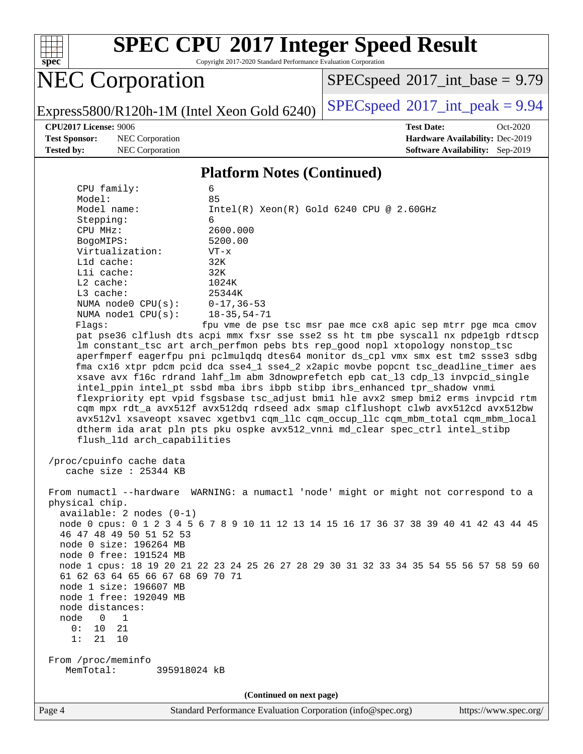

Copyright 2017-2020 Standard Performance Evaluation Corporation

## NEC Corporation

 $SPEC speed$ <sup>®</sup> $2017$ \_int\_base = 9.79

Express5800/R120h-1M (Intel Xeon Gold 6240) [SPECspeed](http://www.spec.org/auto/cpu2017/Docs/result-fields.html#SPECspeed2017intpeak)®2017\_int\_peak =  $9.94$ 

**[Test Sponsor:](http://www.spec.org/auto/cpu2017/Docs/result-fields.html#TestSponsor)** NEC Corporation **[Hardware Availability:](http://www.spec.org/auto/cpu2017/Docs/result-fields.html#HardwareAvailability)** Dec-2019

**[CPU2017 License:](http://www.spec.org/auto/cpu2017/Docs/result-fields.html#CPU2017License)** 9006 **[Test Date:](http://www.spec.org/auto/cpu2017/Docs/result-fields.html#TestDate)** Oct-2020 **[Tested by:](http://www.spec.org/auto/cpu2017/Docs/result-fields.html#Testedby)** NEC Corporation **[Software Availability:](http://www.spec.org/auto/cpu2017/Docs/result-fields.html#SoftwareAvailability)** Sep-2019

#### **[Platform Notes \(Continued\)](http://www.spec.org/auto/cpu2017/Docs/result-fields.html#PlatformNotes)**

| Model:<br>85<br>Model name:<br>$Intel(R)$ Xeon $(R)$ Gold 6240 CPU @ 2.60GHz<br>Stepping:<br>6<br>CPU MHz:<br>2600.000<br>BogoMIPS:<br>5200.00<br>Virtualization:<br>$VT - x$<br>Lld cache:<br>32K<br>Lli cache:<br>32K<br>L2 cache:<br>1024K<br>L3 cache:<br>25344K<br>NUMA node0 $CPU(s): 0-17, 36-53$<br>NUMA $node1$ $CPU(s)$ :<br>$18 - 35, 54 - 71$<br>fpu vme de pse tsc msr pae mce cx8 apic sep mtrr pge mca cmov<br>Flags:<br>pat pse36 clflush dts acpi mmx fxsr sse sse2 ss ht tm pbe syscall nx pdpelgb rdtscp<br>lm constant_tsc art arch_perfmon pebs bts rep_good nopl xtopology nonstop_tsc<br>aperfmperf eagerfpu pni pclmulqdq dtes64 monitor ds_cpl vmx smx est tm2 ssse3 sdbg<br>fma cx16 xtpr pdcm pcid dca sse4_1 sse4_2 x2apic movbe popcnt tsc_deadline_timer aes<br>xsave avx f16c rdrand lahf_lm abm 3dnowprefetch epb cat_13 cdp_13 invpcid_single<br>intel_ppin intel_pt ssbd mba ibrs ibpb stibp ibrs_enhanced tpr_shadow vnmi<br>flexpriority ept vpid fsgsbase tsc_adjust bmil hle avx2 smep bmi2 erms invpcid rtm<br>cqm mpx rdt_a avx512f avx512dq rdseed adx smap clflushopt clwb avx512cd avx512bw<br>avx512vl xsaveopt xsavec xgetbvl cqm_llc cqm_occup_llc cqm_mbm_total cqm_mbm_local<br>dtherm ida arat pln pts pku ospke avx512_vnni md_clear spec_ctrl intel_stibp |  |  |  |  |  |  |
|--------------------------------------------------------------------------------------------------------------------------------------------------------------------------------------------------------------------------------------------------------------------------------------------------------------------------------------------------------------------------------------------------------------------------------------------------------------------------------------------------------------------------------------------------------------------------------------------------------------------------------------------------------------------------------------------------------------------------------------------------------------------------------------------------------------------------------------------------------------------------------------------------------------------------------------------------------------------------------------------------------------------------------------------------------------------------------------------------------------------------------------------------------------------------------------------------------------------------------------------------------------------------------------------------------------|--|--|--|--|--|--|
|                                                                                                                                                                                                                                                                                                                                                                                                                                                                                                                                                                                                                                                                                                                                                                                                                                                                                                                                                                                                                                                                                                                                                                                                                                                                                                              |  |  |  |  |  |  |
|                                                                                                                                                                                                                                                                                                                                                                                                                                                                                                                                                                                                                                                                                                                                                                                                                                                                                                                                                                                                                                                                                                                                                                                                                                                                                                              |  |  |  |  |  |  |
|                                                                                                                                                                                                                                                                                                                                                                                                                                                                                                                                                                                                                                                                                                                                                                                                                                                                                                                                                                                                                                                                                                                                                                                                                                                                                                              |  |  |  |  |  |  |
|                                                                                                                                                                                                                                                                                                                                                                                                                                                                                                                                                                                                                                                                                                                                                                                                                                                                                                                                                                                                                                                                                                                                                                                                                                                                                                              |  |  |  |  |  |  |
|                                                                                                                                                                                                                                                                                                                                                                                                                                                                                                                                                                                                                                                                                                                                                                                                                                                                                                                                                                                                                                                                                                                                                                                                                                                                                                              |  |  |  |  |  |  |
|                                                                                                                                                                                                                                                                                                                                                                                                                                                                                                                                                                                                                                                                                                                                                                                                                                                                                                                                                                                                                                                                                                                                                                                                                                                                                                              |  |  |  |  |  |  |
|                                                                                                                                                                                                                                                                                                                                                                                                                                                                                                                                                                                                                                                                                                                                                                                                                                                                                                                                                                                                                                                                                                                                                                                                                                                                                                              |  |  |  |  |  |  |
|                                                                                                                                                                                                                                                                                                                                                                                                                                                                                                                                                                                                                                                                                                                                                                                                                                                                                                                                                                                                                                                                                                                                                                                                                                                                                                              |  |  |  |  |  |  |
|                                                                                                                                                                                                                                                                                                                                                                                                                                                                                                                                                                                                                                                                                                                                                                                                                                                                                                                                                                                                                                                                                                                                                                                                                                                                                                              |  |  |  |  |  |  |
|                                                                                                                                                                                                                                                                                                                                                                                                                                                                                                                                                                                                                                                                                                                                                                                                                                                                                                                                                                                                                                                                                                                                                                                                                                                                                                              |  |  |  |  |  |  |
|                                                                                                                                                                                                                                                                                                                                                                                                                                                                                                                                                                                                                                                                                                                                                                                                                                                                                                                                                                                                                                                                                                                                                                                                                                                                                                              |  |  |  |  |  |  |
|                                                                                                                                                                                                                                                                                                                                                                                                                                                                                                                                                                                                                                                                                                                                                                                                                                                                                                                                                                                                                                                                                                                                                                                                                                                                                                              |  |  |  |  |  |  |
|                                                                                                                                                                                                                                                                                                                                                                                                                                                                                                                                                                                                                                                                                                                                                                                                                                                                                                                                                                                                                                                                                                                                                                                                                                                                                                              |  |  |  |  |  |  |
|                                                                                                                                                                                                                                                                                                                                                                                                                                                                                                                                                                                                                                                                                                                                                                                                                                                                                                                                                                                                                                                                                                                                                                                                                                                                                                              |  |  |  |  |  |  |
|                                                                                                                                                                                                                                                                                                                                                                                                                                                                                                                                                                                                                                                                                                                                                                                                                                                                                                                                                                                                                                                                                                                                                                                                                                                                                                              |  |  |  |  |  |  |
|                                                                                                                                                                                                                                                                                                                                                                                                                                                                                                                                                                                                                                                                                                                                                                                                                                                                                                                                                                                                                                                                                                                                                                                                                                                                                                              |  |  |  |  |  |  |
|                                                                                                                                                                                                                                                                                                                                                                                                                                                                                                                                                                                                                                                                                                                                                                                                                                                                                                                                                                                                                                                                                                                                                                                                                                                                                                              |  |  |  |  |  |  |
|                                                                                                                                                                                                                                                                                                                                                                                                                                                                                                                                                                                                                                                                                                                                                                                                                                                                                                                                                                                                                                                                                                                                                                                                                                                                                                              |  |  |  |  |  |  |
|                                                                                                                                                                                                                                                                                                                                                                                                                                                                                                                                                                                                                                                                                                                                                                                                                                                                                                                                                                                                                                                                                                                                                                                                                                                                                                              |  |  |  |  |  |  |
|                                                                                                                                                                                                                                                                                                                                                                                                                                                                                                                                                                                                                                                                                                                                                                                                                                                                                                                                                                                                                                                                                                                                                                                                                                                                                                              |  |  |  |  |  |  |
|                                                                                                                                                                                                                                                                                                                                                                                                                                                                                                                                                                                                                                                                                                                                                                                                                                                                                                                                                                                                                                                                                                                                                                                                                                                                                                              |  |  |  |  |  |  |
| flush_l1d arch_capabilities                                                                                                                                                                                                                                                                                                                                                                                                                                                                                                                                                                                                                                                                                                                                                                                                                                                                                                                                                                                                                                                                                                                                                                                                                                                                                  |  |  |  |  |  |  |
| /proc/cpuinfo cache data<br>cache size : 25344 KB<br>From numactl --hardware WARNING: a numactl 'node' might or might not correspond to a                                                                                                                                                                                                                                                                                                                                                                                                                                                                                                                                                                                                                                                                                                                                                                                                                                                                                                                                                                                                                                                                                                                                                                    |  |  |  |  |  |  |
| physical chip.                                                                                                                                                                                                                                                                                                                                                                                                                                                                                                                                                                                                                                                                                                                                                                                                                                                                                                                                                                                                                                                                                                                                                                                                                                                                                               |  |  |  |  |  |  |
| $available: 2 nodes (0-1)$                                                                                                                                                                                                                                                                                                                                                                                                                                                                                                                                                                                                                                                                                                                                                                                                                                                                                                                                                                                                                                                                                                                                                                                                                                                                                   |  |  |  |  |  |  |
| node 0 cpus: 0 1 2 3 4 5 6 7 8 9 10 11 12 13 14 15 16 17 36 37 38 39 40 41 42 43 44 45                                                                                                                                                                                                                                                                                                                                                                                                                                                                                                                                                                                                                                                                                                                                                                                                                                                                                                                                                                                                                                                                                                                                                                                                                       |  |  |  |  |  |  |
| 46 47 48 49 50 51 52 53                                                                                                                                                                                                                                                                                                                                                                                                                                                                                                                                                                                                                                                                                                                                                                                                                                                                                                                                                                                                                                                                                                                                                                                                                                                                                      |  |  |  |  |  |  |
| node 0 size: 196264 MB                                                                                                                                                                                                                                                                                                                                                                                                                                                                                                                                                                                                                                                                                                                                                                                                                                                                                                                                                                                                                                                                                                                                                                                                                                                                                       |  |  |  |  |  |  |
| node 0 free: 191524 MB                                                                                                                                                                                                                                                                                                                                                                                                                                                                                                                                                                                                                                                                                                                                                                                                                                                                                                                                                                                                                                                                                                                                                                                                                                                                                       |  |  |  |  |  |  |
| node 1 cpus: 18 19 20 21 22 23 24 25 26 27 28 29 30 31 32 33 34 35 54 55 56 57 58 59 60<br>61 62 63 64 65 66 67 68 69 70 71                                                                                                                                                                                                                                                                                                                                                                                                                                                                                                                                                                                                                                                                                                                                                                                                                                                                                                                                                                                                                                                                                                                                                                                  |  |  |  |  |  |  |
| node 1 size: 196607 MB                                                                                                                                                                                                                                                                                                                                                                                                                                                                                                                                                                                                                                                                                                                                                                                                                                                                                                                                                                                                                                                                                                                                                                                                                                                                                       |  |  |  |  |  |  |
| node 1 free: 192049 MB                                                                                                                                                                                                                                                                                                                                                                                                                                                                                                                                                                                                                                                                                                                                                                                                                                                                                                                                                                                                                                                                                                                                                                                                                                                                                       |  |  |  |  |  |  |
| node distances:                                                                                                                                                                                                                                                                                                                                                                                                                                                                                                                                                                                                                                                                                                                                                                                                                                                                                                                                                                                                                                                                                                                                                                                                                                                                                              |  |  |  |  |  |  |
| node<br>0<br>1                                                                                                                                                                                                                                                                                                                                                                                                                                                                                                                                                                                                                                                                                                                                                                                                                                                                                                                                                                                                                                                                                                                                                                                                                                                                                               |  |  |  |  |  |  |
| 0:<br>21<br>10                                                                                                                                                                                                                                                                                                                                                                                                                                                                                                                                                                                                                                                                                                                                                                                                                                                                                                                                                                                                                                                                                                                                                                                                                                                                                               |  |  |  |  |  |  |
| 1:<br>21<br>$10$                                                                                                                                                                                                                                                                                                                                                                                                                                                                                                                                                                                                                                                                                                                                                                                                                                                                                                                                                                                                                                                                                                                                                                                                                                                                                             |  |  |  |  |  |  |
|                                                                                                                                                                                                                                                                                                                                                                                                                                                                                                                                                                                                                                                                                                                                                                                                                                                                                                                                                                                                                                                                                                                                                                                                                                                                                                              |  |  |  |  |  |  |
| From /proc/meminfo                                                                                                                                                                                                                                                                                                                                                                                                                                                                                                                                                                                                                                                                                                                                                                                                                                                                                                                                                                                                                                                                                                                                                                                                                                                                                           |  |  |  |  |  |  |
| MemTotal:<br>395918024 kB                                                                                                                                                                                                                                                                                                                                                                                                                                                                                                                                                                                                                                                                                                                                                                                                                                                                                                                                                                                                                                                                                                                                                                                                                                                                                    |  |  |  |  |  |  |
| (Continued on next page)                                                                                                                                                                                                                                                                                                                                                                                                                                                                                                                                                                                                                                                                                                                                                                                                                                                                                                                                                                                                                                                                                                                                                                                                                                                                                     |  |  |  |  |  |  |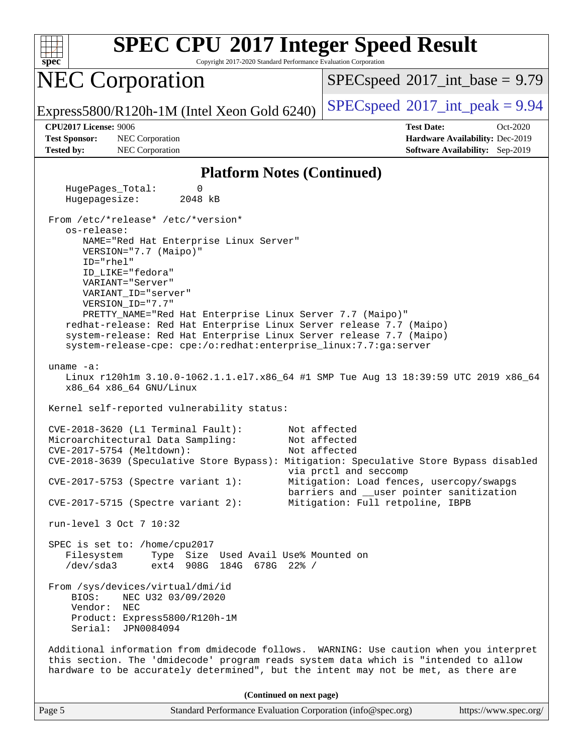

Copyright 2017-2020 Standard Performance Evaluation Corporation

## NEC Corporation

 $SPECspeed^{\circ}2017\_int\_base = 9.79$  $SPECspeed^{\circ}2017\_int\_base = 9.79$ 

Express5800/R120h-1M (Intel Xeon Gold 6240) [SPECspeed](http://www.spec.org/auto/cpu2017/Docs/result-fields.html#SPECspeed2017intpeak)®2017\_int\_peak =  $9.94$ 

**[Test Sponsor:](http://www.spec.org/auto/cpu2017/Docs/result-fields.html#TestSponsor)** NEC Corporation **[Hardware Availability:](http://www.spec.org/auto/cpu2017/Docs/result-fields.html#HardwareAvailability)** Dec-2019 **[Tested by:](http://www.spec.org/auto/cpu2017/Docs/result-fields.html#Testedby)** NEC Corporation **[Software Availability:](http://www.spec.org/auto/cpu2017/Docs/result-fields.html#SoftwareAvailability)** Sep-2019

**[CPU2017 License:](http://www.spec.org/auto/cpu2017/Docs/result-fields.html#CPU2017License)** 9006 **[Test Date:](http://www.spec.org/auto/cpu2017/Docs/result-fields.html#TestDate)** Oct-2020

#### **[Platform Notes \(Continued\)](http://www.spec.org/auto/cpu2017/Docs/result-fields.html#PlatformNotes)**

 HugePages\_Total: 0 Hugepagesize: 2048 kB From /etc/\*release\* /etc/\*version\* os-release: NAME="Red Hat Enterprise Linux Server" VERSION="7.7 (Maipo)" ID="rhel" ID\_LIKE="fedora" VARIANT="Server" VARIANT\_ID="server" VERSION\_ID="7.7" PRETTY\_NAME="Red Hat Enterprise Linux Server 7.7 (Maipo)" redhat-release: Red Hat Enterprise Linux Server release 7.7 (Maipo) system-release: Red Hat Enterprise Linux Server release 7.7 (Maipo) system-release-cpe: cpe:/o:redhat:enterprise\_linux:7.7:ga:server uname -a: Linux r120h1m 3.10.0-1062.1.1.el7.x86\_64 #1 SMP Tue Aug 13 18:39:59 UTC 2019 x86\_64 x86\_64 x86\_64 GNU/Linux Kernel self-reported vulnerability status: CVE-2018-3620 (L1 Terminal Fault): Not affected Microarchitectural Data Sampling: Not affected CVE-2017-5754 (Meltdown): Not affected CVE-2018-3639 (Speculative Store Bypass): Mitigation: Speculative Store Bypass disabled via prctl and seccomp CVE-2017-5753 (Spectre variant 1): Mitigation: Load fences, usercopy/swapgs barriers and \_\_user pointer sanitization CVE-2017-5715 (Spectre variant 2): Mitigation: Full retpoline, IBPB run-level 3 Oct 7 10:32 SPEC is set to: /home/cpu2017 Filesystem Type Size Used Avail Use% Mounted on /dev/sda3 ext4 908G 184G 678G 22% / From /sys/devices/virtual/dmi/id BIOS: NEC U32 03/09/2020 Vendor: NEC Product: Express5800/R120h-1M Serial: JPN0084094 Additional information from dmidecode follows. WARNING: Use caution when you interpret this section. The 'dmidecode' program reads system data which is "intended to allow hardware to be accurately determined", but the intent may not be met, as there are **(Continued on next page)**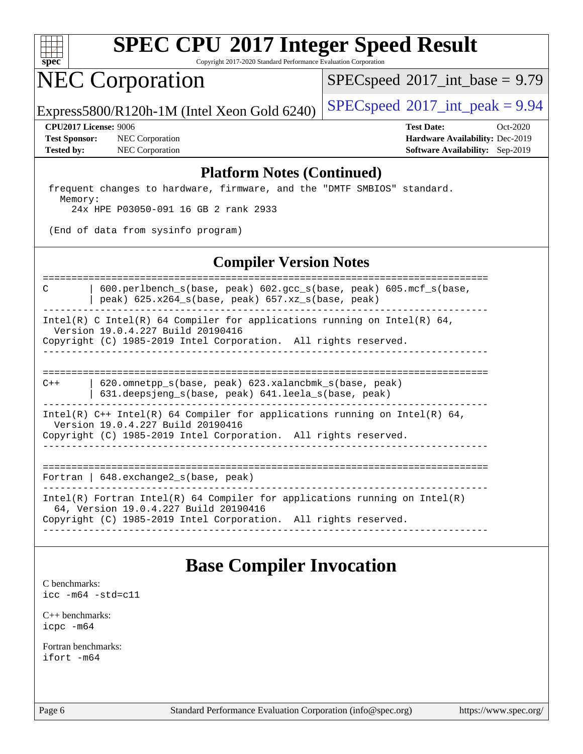

Copyright 2017-2020 Standard Performance Evaluation Corporation

## NEC Corporation

 $SPECspeed^{\circledcirc}2017\_int\_base = 9.79$  $SPECspeed^{\circledcirc}2017\_int\_base = 9.79$ 

Express5800/R120h-1M (Intel Xeon Gold 6240) [SPECspeed](http://www.spec.org/auto/cpu2017/Docs/result-fields.html#SPECspeed2017intpeak)®2017\_int\_peak =  $9.94$ 

**[Test Sponsor:](http://www.spec.org/auto/cpu2017/Docs/result-fields.html#TestSponsor)** NEC Corporation **[Hardware Availability:](http://www.spec.org/auto/cpu2017/Docs/result-fields.html#HardwareAvailability)** Dec-2019 **[Tested by:](http://www.spec.org/auto/cpu2017/Docs/result-fields.html#Testedby)** NEC Corporation **[Software Availability:](http://www.spec.org/auto/cpu2017/Docs/result-fields.html#SoftwareAvailability)** Sep-2019

**[CPU2017 License:](http://www.spec.org/auto/cpu2017/Docs/result-fields.html#CPU2017License)** 9006 **[Test Date:](http://www.spec.org/auto/cpu2017/Docs/result-fields.html#TestDate)** Oct-2020

#### **[Platform Notes \(Continued\)](http://www.spec.org/auto/cpu2017/Docs/result-fields.html#PlatformNotes)**

 frequent changes to hardware, firmware, and the "DMTF SMBIOS" standard. Memory: 24x HPE P03050-091 16 GB 2 rank 2933

(End of data from sysinfo program)

### **[Compiler Version Notes](http://www.spec.org/auto/cpu2017/Docs/result-fields.html#CompilerVersionNotes)**

============================================================================== C | 600.perlbench\_s(base, peak) 602.gcc\_s(base, peak) 605.mcf\_s(base, | peak) 625.x264\_s(base, peak) 657.xz\_s(base, peak) ------------------------------------------------------------------------------

Intel(R) C Intel(R) 64 Compiler for applications running on Intel(R) 64, Version 19.0.4.227 Build 20190416

Copyright (C) 1985-2019 Intel Corporation. All rights reserved. ------------------------------------------------------------------------------

============================================================================== C++ | 620.omnetpp\_s(base, peak) 623.xalancbmk\_s(base, peak)

 | 631.deepsjeng\_s(base, peak) 641.leela\_s(base, peak) ------------------------------------------------------------------------------

Intel(R)  $C++$  Intel(R) 64 Compiler for applications running on Intel(R) 64,

Version 19.0.4.227 Build 20190416

Copyright (C) 1985-2019 Intel Corporation. All rights reserved. ------------------------------------------------------------------------------

==============================================================================

Fortran | 648.exchange2\_s(base, peak) ------------------------------------------------------------------------------

Intel(R) Fortran Intel(R) 64 Compiler for applications running on Intel(R)

64, Version 19.0.4.227 Build 20190416

Copyright (C) 1985-2019 Intel Corporation. All rights reserved. ------------------------------------------------------------------------------

## **[Base Compiler Invocation](http://www.spec.org/auto/cpu2017/Docs/result-fields.html#BaseCompilerInvocation)**

[C benchmarks](http://www.spec.org/auto/cpu2017/Docs/result-fields.html#Cbenchmarks): [icc -m64 -std=c11](http://www.spec.org/cpu2017/results/res2020q4/cpu2017-20201012-24180.flags.html#user_CCbase_intel_icc_64bit_c11_33ee0cdaae7deeeab2a9725423ba97205ce30f63b9926c2519791662299b76a0318f32ddfffdc46587804de3178b4f9328c46fa7c2b0cd779d7a61945c91cd35)

[C++ benchmarks:](http://www.spec.org/auto/cpu2017/Docs/result-fields.html#CXXbenchmarks) [icpc -m64](http://www.spec.org/cpu2017/results/res2020q4/cpu2017-20201012-24180.flags.html#user_CXXbase_intel_icpc_64bit_4ecb2543ae3f1412ef961e0650ca070fec7b7afdcd6ed48761b84423119d1bf6bdf5cad15b44d48e7256388bc77273b966e5eb805aefd121eb22e9299b2ec9d9)

[Fortran benchmarks](http://www.spec.org/auto/cpu2017/Docs/result-fields.html#Fortranbenchmarks): [ifort -m64](http://www.spec.org/cpu2017/results/res2020q4/cpu2017-20201012-24180.flags.html#user_FCbase_intel_ifort_64bit_24f2bb282fbaeffd6157abe4f878425411749daecae9a33200eee2bee2fe76f3b89351d69a8130dd5949958ce389cf37ff59a95e7a40d588e8d3a57e0c3fd751)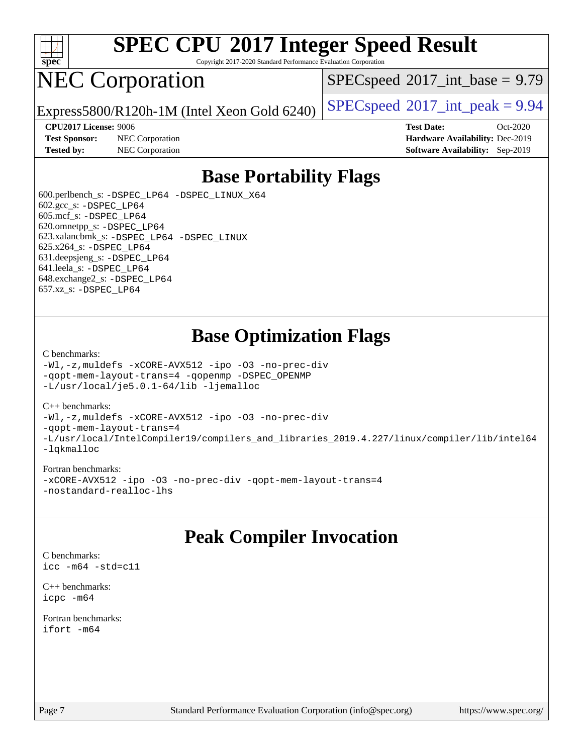

Copyright 2017-2020 Standard Performance Evaluation Corporation

## NEC Corporation

 $SPECspeed^{\circ}2017\_int\_base = 9.79$  $SPECspeed^{\circ}2017\_int\_base = 9.79$ 

Express5800/R120h-1M (Intel Xeon Gold 6240) [SPECspeed](http://www.spec.org/auto/cpu2017/Docs/result-fields.html#SPECspeed2017intpeak)®2017\_int\_peak =  $9.94$ 

**[Test Sponsor:](http://www.spec.org/auto/cpu2017/Docs/result-fields.html#TestSponsor)** NEC Corporation **[Hardware Availability:](http://www.spec.org/auto/cpu2017/Docs/result-fields.html#HardwareAvailability)** Dec-2019

**[CPU2017 License:](http://www.spec.org/auto/cpu2017/Docs/result-fields.html#CPU2017License)** 9006 **[Test Date:](http://www.spec.org/auto/cpu2017/Docs/result-fields.html#TestDate)** Oct-2020 **[Tested by:](http://www.spec.org/auto/cpu2017/Docs/result-fields.html#Testedby)** NEC Corporation **[Software Availability:](http://www.spec.org/auto/cpu2017/Docs/result-fields.html#SoftwareAvailability)** Sep-2019

## **[Base Portability Flags](http://www.spec.org/auto/cpu2017/Docs/result-fields.html#BasePortabilityFlags)**

 600.perlbench\_s: [-DSPEC\\_LP64](http://www.spec.org/cpu2017/results/res2020q4/cpu2017-20201012-24180.flags.html#b600.perlbench_s_basePORTABILITY_DSPEC_LP64) [-DSPEC\\_LINUX\\_X64](http://www.spec.org/cpu2017/results/res2020q4/cpu2017-20201012-24180.flags.html#b600.perlbench_s_baseCPORTABILITY_DSPEC_LINUX_X64) 602.gcc\_s: [-DSPEC\\_LP64](http://www.spec.org/cpu2017/results/res2020q4/cpu2017-20201012-24180.flags.html#suite_basePORTABILITY602_gcc_s_DSPEC_LP64) 605.mcf\_s: [-DSPEC\\_LP64](http://www.spec.org/cpu2017/results/res2020q4/cpu2017-20201012-24180.flags.html#suite_basePORTABILITY605_mcf_s_DSPEC_LP64) 620.omnetpp\_s: [-DSPEC\\_LP64](http://www.spec.org/cpu2017/results/res2020q4/cpu2017-20201012-24180.flags.html#suite_basePORTABILITY620_omnetpp_s_DSPEC_LP64) 623.xalancbmk\_s: [-DSPEC\\_LP64](http://www.spec.org/cpu2017/results/res2020q4/cpu2017-20201012-24180.flags.html#suite_basePORTABILITY623_xalancbmk_s_DSPEC_LP64) [-DSPEC\\_LINUX](http://www.spec.org/cpu2017/results/res2020q4/cpu2017-20201012-24180.flags.html#b623.xalancbmk_s_baseCXXPORTABILITY_DSPEC_LINUX) 625.x264\_s: [-DSPEC\\_LP64](http://www.spec.org/cpu2017/results/res2020q4/cpu2017-20201012-24180.flags.html#suite_basePORTABILITY625_x264_s_DSPEC_LP64) 631.deepsjeng\_s: [-DSPEC\\_LP64](http://www.spec.org/cpu2017/results/res2020q4/cpu2017-20201012-24180.flags.html#suite_basePORTABILITY631_deepsjeng_s_DSPEC_LP64) 641.leela\_s: [-DSPEC\\_LP64](http://www.spec.org/cpu2017/results/res2020q4/cpu2017-20201012-24180.flags.html#suite_basePORTABILITY641_leela_s_DSPEC_LP64) 648.exchange2\_s: [-DSPEC\\_LP64](http://www.spec.org/cpu2017/results/res2020q4/cpu2017-20201012-24180.flags.html#suite_basePORTABILITY648_exchange2_s_DSPEC_LP64) 657.xz\_s: [-DSPEC\\_LP64](http://www.spec.org/cpu2017/results/res2020q4/cpu2017-20201012-24180.flags.html#suite_basePORTABILITY657_xz_s_DSPEC_LP64)

## **[Base Optimization Flags](http://www.spec.org/auto/cpu2017/Docs/result-fields.html#BaseOptimizationFlags)**

#### [C benchmarks](http://www.spec.org/auto/cpu2017/Docs/result-fields.html#Cbenchmarks):

[-Wl,-z,muldefs](http://www.spec.org/cpu2017/results/res2020q4/cpu2017-20201012-24180.flags.html#user_CCbase_link_force_multiple1_b4cbdb97b34bdee9ceefcfe54f4c8ea74255f0b02a4b23e853cdb0e18eb4525ac79b5a88067c842dd0ee6996c24547a27a4b99331201badda8798ef8a743f577) [-xCORE-AVX512](http://www.spec.org/cpu2017/results/res2020q4/cpu2017-20201012-24180.flags.html#user_CCbase_f-xCORE-AVX512) [-ipo](http://www.spec.org/cpu2017/results/res2020q4/cpu2017-20201012-24180.flags.html#user_CCbase_f-ipo) [-O3](http://www.spec.org/cpu2017/results/res2020q4/cpu2017-20201012-24180.flags.html#user_CCbase_f-O3) [-no-prec-div](http://www.spec.org/cpu2017/results/res2020q4/cpu2017-20201012-24180.flags.html#user_CCbase_f-no-prec-div) [-qopt-mem-layout-trans=4](http://www.spec.org/cpu2017/results/res2020q4/cpu2017-20201012-24180.flags.html#user_CCbase_f-qopt-mem-layout-trans_fa39e755916c150a61361b7846f310bcdf6f04e385ef281cadf3647acec3f0ae266d1a1d22d972a7087a248fd4e6ca390a3634700869573d231a252c784941a8) [-qopenmp](http://www.spec.org/cpu2017/results/res2020q4/cpu2017-20201012-24180.flags.html#user_CCbase_qopenmp_16be0c44f24f464004c6784a7acb94aca937f053568ce72f94b139a11c7c168634a55f6653758ddd83bcf7b8463e8028bb0b48b77bcddc6b78d5d95bb1df2967) [-DSPEC\\_OPENMP](http://www.spec.org/cpu2017/results/res2020q4/cpu2017-20201012-24180.flags.html#suite_CCbase_DSPEC_OPENMP) [-L/usr/local/je5.0.1-64/lib](http://www.spec.org/cpu2017/results/res2020q4/cpu2017-20201012-24180.flags.html#user_CCbase_jemalloc_link_path64_4b10a636b7bce113509b17f3bd0d6226c5fb2346b9178c2d0232c14f04ab830f976640479e5c33dc2bcbbdad86ecfb6634cbbd4418746f06f368b512fced5394) [-ljemalloc](http://www.spec.org/cpu2017/results/res2020q4/cpu2017-20201012-24180.flags.html#user_CCbase_jemalloc_link_lib_d1249b907c500fa1c0672f44f562e3d0f79738ae9e3c4a9c376d49f265a04b9c99b167ecedbf6711b3085be911c67ff61f150a17b3472be731631ba4d0471706)

#### [C++ benchmarks:](http://www.spec.org/auto/cpu2017/Docs/result-fields.html#CXXbenchmarks)

[-Wl,-z,muldefs](http://www.spec.org/cpu2017/results/res2020q4/cpu2017-20201012-24180.flags.html#user_CXXbase_link_force_multiple1_b4cbdb97b34bdee9ceefcfe54f4c8ea74255f0b02a4b23e853cdb0e18eb4525ac79b5a88067c842dd0ee6996c24547a27a4b99331201badda8798ef8a743f577) [-xCORE-AVX512](http://www.spec.org/cpu2017/results/res2020q4/cpu2017-20201012-24180.flags.html#user_CXXbase_f-xCORE-AVX512) [-ipo](http://www.spec.org/cpu2017/results/res2020q4/cpu2017-20201012-24180.flags.html#user_CXXbase_f-ipo) [-O3](http://www.spec.org/cpu2017/results/res2020q4/cpu2017-20201012-24180.flags.html#user_CXXbase_f-O3) [-no-prec-div](http://www.spec.org/cpu2017/results/res2020q4/cpu2017-20201012-24180.flags.html#user_CXXbase_f-no-prec-div) [-qopt-mem-layout-trans=4](http://www.spec.org/cpu2017/results/res2020q4/cpu2017-20201012-24180.flags.html#user_CXXbase_f-qopt-mem-layout-trans_fa39e755916c150a61361b7846f310bcdf6f04e385ef281cadf3647acec3f0ae266d1a1d22d972a7087a248fd4e6ca390a3634700869573d231a252c784941a8) [-L/usr/local/IntelCompiler19/compilers\\_and\\_libraries\\_2019.4.227/linux/compiler/lib/intel64](http://www.spec.org/cpu2017/results/res2020q4/cpu2017-20201012-24180.flags.html#user_CXXbase_qkmalloc_link_0ffe0cb02c68ef1b443a077c7888c10c67ca0d1dd7138472156f06a085bbad385f78d49618ad55dca9db3b1608e84afc2f69b4003b1d1ca498a9fc1462ccefda) [-lqkmalloc](http://www.spec.org/cpu2017/results/res2020q4/cpu2017-20201012-24180.flags.html#user_CXXbase_qkmalloc_link_lib_79a818439969f771c6bc311cfd333c00fc099dad35c030f5aab9dda831713d2015205805422f83de8875488a2991c0a156aaa600e1f9138f8fc37004abc96dc5)

#### [Fortran benchmarks:](http://www.spec.org/auto/cpu2017/Docs/result-fields.html#Fortranbenchmarks)

[-xCORE-AVX512](http://www.spec.org/cpu2017/results/res2020q4/cpu2017-20201012-24180.flags.html#user_FCbase_f-xCORE-AVX512) [-ipo](http://www.spec.org/cpu2017/results/res2020q4/cpu2017-20201012-24180.flags.html#user_FCbase_f-ipo) [-O3](http://www.spec.org/cpu2017/results/res2020q4/cpu2017-20201012-24180.flags.html#user_FCbase_f-O3) [-no-prec-div](http://www.spec.org/cpu2017/results/res2020q4/cpu2017-20201012-24180.flags.html#user_FCbase_f-no-prec-div) [-qopt-mem-layout-trans=4](http://www.spec.org/cpu2017/results/res2020q4/cpu2017-20201012-24180.flags.html#user_FCbase_f-qopt-mem-layout-trans_fa39e755916c150a61361b7846f310bcdf6f04e385ef281cadf3647acec3f0ae266d1a1d22d972a7087a248fd4e6ca390a3634700869573d231a252c784941a8) [-nostandard-realloc-lhs](http://www.spec.org/cpu2017/results/res2020q4/cpu2017-20201012-24180.flags.html#user_FCbase_f_2003_std_realloc_82b4557e90729c0f113870c07e44d33d6f5a304b4f63d4c15d2d0f1fab99f5daaed73bdb9275d9ae411527f28b936061aa8b9c8f2d63842963b95c9dd6426b8a)

## **[Peak Compiler Invocation](http://www.spec.org/auto/cpu2017/Docs/result-fields.html#PeakCompilerInvocation)**

[C benchmarks](http://www.spec.org/auto/cpu2017/Docs/result-fields.html#Cbenchmarks): [icc -m64 -std=c11](http://www.spec.org/cpu2017/results/res2020q4/cpu2017-20201012-24180.flags.html#user_CCpeak_intel_icc_64bit_c11_33ee0cdaae7deeeab2a9725423ba97205ce30f63b9926c2519791662299b76a0318f32ddfffdc46587804de3178b4f9328c46fa7c2b0cd779d7a61945c91cd35)

[C++ benchmarks:](http://www.spec.org/auto/cpu2017/Docs/result-fields.html#CXXbenchmarks) [icpc -m64](http://www.spec.org/cpu2017/results/res2020q4/cpu2017-20201012-24180.flags.html#user_CXXpeak_intel_icpc_64bit_4ecb2543ae3f1412ef961e0650ca070fec7b7afdcd6ed48761b84423119d1bf6bdf5cad15b44d48e7256388bc77273b966e5eb805aefd121eb22e9299b2ec9d9)

[Fortran benchmarks](http://www.spec.org/auto/cpu2017/Docs/result-fields.html#Fortranbenchmarks): [ifort -m64](http://www.spec.org/cpu2017/results/res2020q4/cpu2017-20201012-24180.flags.html#user_FCpeak_intel_ifort_64bit_24f2bb282fbaeffd6157abe4f878425411749daecae9a33200eee2bee2fe76f3b89351d69a8130dd5949958ce389cf37ff59a95e7a40d588e8d3a57e0c3fd751)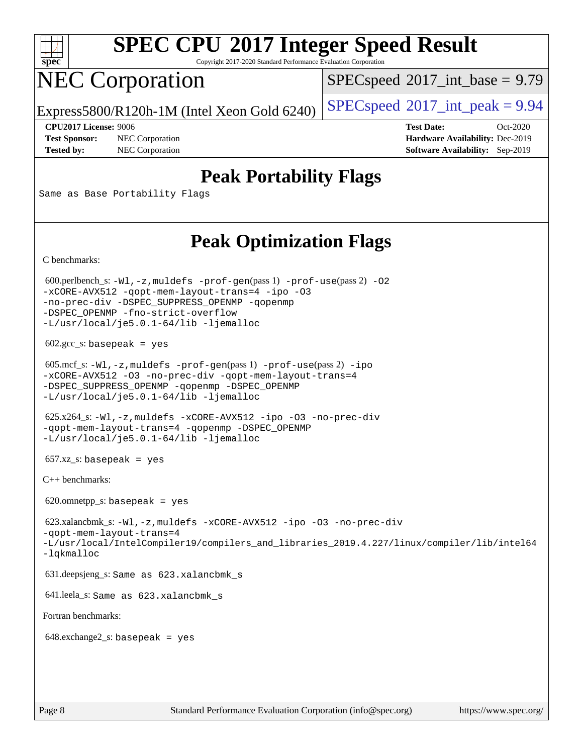

Copyright 2017-2020 Standard Performance Evaluation Corporation

# NEC Corporation

 $SPECspeed^{\circ}2017\_int\_base = 9.79$  $SPECspeed^{\circ}2017\_int\_base = 9.79$ 

Express5800/R120h-1M (Intel Xeon Gold 6240) [SPECspeed](http://www.spec.org/auto/cpu2017/Docs/result-fields.html#SPECspeed2017intpeak)®2017\_int\_peak =  $9.94$ 

**[Test Sponsor:](http://www.spec.org/auto/cpu2017/Docs/result-fields.html#TestSponsor)** NEC Corporation **[Hardware Availability:](http://www.spec.org/auto/cpu2017/Docs/result-fields.html#HardwareAvailability)** Dec-2019

**[CPU2017 License:](http://www.spec.org/auto/cpu2017/Docs/result-fields.html#CPU2017License)** 9006 **[Test Date:](http://www.spec.org/auto/cpu2017/Docs/result-fields.html#TestDate)** Oct-2020 **[Tested by:](http://www.spec.org/auto/cpu2017/Docs/result-fields.html#Testedby)** NEC Corporation **[Software Availability:](http://www.spec.org/auto/cpu2017/Docs/result-fields.html#SoftwareAvailability)** Sep-2019

## **[Peak Portability Flags](http://www.spec.org/auto/cpu2017/Docs/result-fields.html#PeakPortabilityFlags)**

Same as Base Portability Flags

## **[Peak Optimization Flags](http://www.spec.org/auto/cpu2017/Docs/result-fields.html#PeakOptimizationFlags)**

[C benchmarks](http://www.spec.org/auto/cpu2017/Docs/result-fields.html#Cbenchmarks):

600.perlbench\_s:  $-W1$ , -z, muldefs [-prof-gen](http://www.spec.org/cpu2017/results/res2020q4/cpu2017-20201012-24180.flags.html#user_peakPASS1_CFLAGSPASS1_LDFLAGS600_perlbench_s_prof_gen_5aa4926d6013ddb2a31985c654b3eb18169fc0c6952a63635c234f711e6e63dd76e94ad52365559451ec499a2cdb89e4dc58ba4c67ef54ca681ffbe1461d6b36)(pass 1) [-prof-use](http://www.spec.org/cpu2017/results/res2020q4/cpu2017-20201012-24180.flags.html#user_peakPASS2_CFLAGSPASS2_LDFLAGS600_perlbench_s_prof_use_1a21ceae95f36a2b53c25747139a6c16ca95bd9def2a207b4f0849963b97e94f5260e30a0c64f4bb623698870e679ca08317ef8150905d41bd88c6f78df73f19)(pass 2) -02 [-xCORE-AVX512](http://www.spec.org/cpu2017/results/res2020q4/cpu2017-20201012-24180.flags.html#user_peakPASS2_COPTIMIZE600_perlbench_s_f-xCORE-AVX512) [-qopt-mem-layout-trans=4](http://www.spec.org/cpu2017/results/res2020q4/cpu2017-20201012-24180.flags.html#user_peakPASS1_COPTIMIZEPASS2_COPTIMIZE600_perlbench_s_f-qopt-mem-layout-trans_fa39e755916c150a61361b7846f310bcdf6f04e385ef281cadf3647acec3f0ae266d1a1d22d972a7087a248fd4e6ca390a3634700869573d231a252c784941a8) [-ipo](http://www.spec.org/cpu2017/results/res2020q4/cpu2017-20201012-24180.flags.html#user_peakPASS2_COPTIMIZE600_perlbench_s_f-ipo) [-O3](http://www.spec.org/cpu2017/results/res2020q4/cpu2017-20201012-24180.flags.html#user_peakPASS2_COPTIMIZE600_perlbench_s_f-O3) [-no-prec-div](http://www.spec.org/cpu2017/results/res2020q4/cpu2017-20201012-24180.flags.html#user_peakPASS2_COPTIMIZE600_perlbench_s_f-no-prec-div) [-DSPEC\\_SUPPRESS\\_OPENMP](http://www.spec.org/cpu2017/results/res2020q4/cpu2017-20201012-24180.flags.html#suite_peakPASS1_COPTIMIZE600_perlbench_s_DSPEC_SUPPRESS_OPENMP) [-qopenmp](http://www.spec.org/cpu2017/results/res2020q4/cpu2017-20201012-24180.flags.html#user_peakPASS2_COPTIMIZE600_perlbench_s_qopenmp_16be0c44f24f464004c6784a7acb94aca937f053568ce72f94b139a11c7c168634a55f6653758ddd83bcf7b8463e8028bb0b48b77bcddc6b78d5d95bb1df2967) [-DSPEC\\_OPENMP](http://www.spec.org/cpu2017/results/res2020q4/cpu2017-20201012-24180.flags.html#suite_peakPASS2_COPTIMIZE600_perlbench_s_DSPEC_OPENMP) [-fno-strict-overflow](http://www.spec.org/cpu2017/results/res2020q4/cpu2017-20201012-24180.flags.html#user_peakEXTRA_OPTIMIZE600_perlbench_s_f-fno-strict-overflow) [-L/usr/local/je5.0.1-64/lib](http://www.spec.org/cpu2017/results/res2020q4/cpu2017-20201012-24180.flags.html#user_peakEXTRA_LIBS600_perlbench_s_jemalloc_link_path64_4b10a636b7bce113509b17f3bd0d6226c5fb2346b9178c2d0232c14f04ab830f976640479e5c33dc2bcbbdad86ecfb6634cbbd4418746f06f368b512fced5394) [-ljemalloc](http://www.spec.org/cpu2017/results/res2020q4/cpu2017-20201012-24180.flags.html#user_peakEXTRA_LIBS600_perlbench_s_jemalloc_link_lib_d1249b907c500fa1c0672f44f562e3d0f79738ae9e3c4a9c376d49f265a04b9c99b167ecedbf6711b3085be911c67ff61f150a17b3472be731631ba4d0471706)  $602.\text{gcc}\_\text{s}:$  basepeak = yes 605.mcf\_s: [-Wl,-z,muldefs](http://www.spec.org/cpu2017/results/res2020q4/cpu2017-20201012-24180.flags.html#user_peakEXTRA_LDFLAGS605_mcf_s_link_force_multiple1_b4cbdb97b34bdee9ceefcfe54f4c8ea74255f0b02a4b23e853cdb0e18eb4525ac79b5a88067c842dd0ee6996c24547a27a4b99331201badda8798ef8a743f577) [-prof-gen](http://www.spec.org/cpu2017/results/res2020q4/cpu2017-20201012-24180.flags.html#user_peakPASS1_CFLAGSPASS1_LDFLAGS605_mcf_s_prof_gen_5aa4926d6013ddb2a31985c654b3eb18169fc0c6952a63635c234f711e6e63dd76e94ad52365559451ec499a2cdb89e4dc58ba4c67ef54ca681ffbe1461d6b36)(pass 1) [-prof-use](http://www.spec.org/cpu2017/results/res2020q4/cpu2017-20201012-24180.flags.html#user_peakPASS2_CFLAGSPASS2_LDFLAGS605_mcf_s_prof_use_1a21ceae95f36a2b53c25747139a6c16ca95bd9def2a207b4f0849963b97e94f5260e30a0c64f4bb623698870e679ca08317ef8150905d41bd88c6f78df73f19)(pass 2) [-ipo](http://www.spec.org/cpu2017/results/res2020q4/cpu2017-20201012-24180.flags.html#user_peakPASS1_COPTIMIZEPASS2_COPTIMIZE605_mcf_s_f-ipo) [-xCORE-AVX512](http://www.spec.org/cpu2017/results/res2020q4/cpu2017-20201012-24180.flags.html#user_peakPASS2_COPTIMIZE605_mcf_s_f-xCORE-AVX512) [-O3](http://www.spec.org/cpu2017/results/res2020q4/cpu2017-20201012-24180.flags.html#user_peakPASS1_COPTIMIZEPASS2_COPTIMIZE605_mcf_s_f-O3) [-no-prec-div](http://www.spec.org/cpu2017/results/res2020q4/cpu2017-20201012-24180.flags.html#user_peakPASS1_COPTIMIZEPASS2_COPTIMIZE605_mcf_s_f-no-prec-div) [-qopt-mem-layout-trans=4](http://www.spec.org/cpu2017/results/res2020q4/cpu2017-20201012-24180.flags.html#user_peakPASS1_COPTIMIZEPASS2_COPTIMIZE605_mcf_s_f-qopt-mem-layout-trans_fa39e755916c150a61361b7846f310bcdf6f04e385ef281cadf3647acec3f0ae266d1a1d22d972a7087a248fd4e6ca390a3634700869573d231a252c784941a8) [-DSPEC\\_SUPPRESS\\_OPENMP](http://www.spec.org/cpu2017/results/res2020q4/cpu2017-20201012-24180.flags.html#suite_peakPASS1_COPTIMIZE605_mcf_s_DSPEC_SUPPRESS_OPENMP) [-qopenmp](http://www.spec.org/cpu2017/results/res2020q4/cpu2017-20201012-24180.flags.html#user_peakPASS2_COPTIMIZE605_mcf_s_qopenmp_16be0c44f24f464004c6784a7acb94aca937f053568ce72f94b139a11c7c168634a55f6653758ddd83bcf7b8463e8028bb0b48b77bcddc6b78d5d95bb1df2967) [-DSPEC\\_OPENMP](http://www.spec.org/cpu2017/results/res2020q4/cpu2017-20201012-24180.flags.html#suite_peakPASS2_COPTIMIZE605_mcf_s_DSPEC_OPENMP) [-L/usr/local/je5.0.1-64/lib](http://www.spec.org/cpu2017/results/res2020q4/cpu2017-20201012-24180.flags.html#user_peakEXTRA_LIBS605_mcf_s_jemalloc_link_path64_4b10a636b7bce113509b17f3bd0d6226c5fb2346b9178c2d0232c14f04ab830f976640479e5c33dc2bcbbdad86ecfb6634cbbd4418746f06f368b512fced5394) [-ljemalloc](http://www.spec.org/cpu2017/results/res2020q4/cpu2017-20201012-24180.flags.html#user_peakEXTRA_LIBS605_mcf_s_jemalloc_link_lib_d1249b907c500fa1c0672f44f562e3d0f79738ae9e3c4a9c376d49f265a04b9c99b167ecedbf6711b3085be911c67ff61f150a17b3472be731631ba4d0471706) 625.x264\_s: [-Wl,-z,muldefs](http://www.spec.org/cpu2017/results/res2020q4/cpu2017-20201012-24180.flags.html#user_peakEXTRA_LDFLAGS625_x264_s_link_force_multiple1_b4cbdb97b34bdee9ceefcfe54f4c8ea74255f0b02a4b23e853cdb0e18eb4525ac79b5a88067c842dd0ee6996c24547a27a4b99331201badda8798ef8a743f577) [-xCORE-AVX512](http://www.spec.org/cpu2017/results/res2020q4/cpu2017-20201012-24180.flags.html#user_peakCOPTIMIZE625_x264_s_f-xCORE-AVX512) [-ipo](http://www.spec.org/cpu2017/results/res2020q4/cpu2017-20201012-24180.flags.html#user_peakCOPTIMIZE625_x264_s_f-ipo) [-O3](http://www.spec.org/cpu2017/results/res2020q4/cpu2017-20201012-24180.flags.html#user_peakCOPTIMIZE625_x264_s_f-O3) [-no-prec-div](http://www.spec.org/cpu2017/results/res2020q4/cpu2017-20201012-24180.flags.html#user_peakCOPTIMIZE625_x264_s_f-no-prec-div) [-qopt-mem-layout-trans=4](http://www.spec.org/cpu2017/results/res2020q4/cpu2017-20201012-24180.flags.html#user_peakCOPTIMIZE625_x264_s_f-qopt-mem-layout-trans_fa39e755916c150a61361b7846f310bcdf6f04e385ef281cadf3647acec3f0ae266d1a1d22d972a7087a248fd4e6ca390a3634700869573d231a252c784941a8) [-qopenmp](http://www.spec.org/cpu2017/results/res2020q4/cpu2017-20201012-24180.flags.html#user_peakCOPTIMIZE625_x264_s_qopenmp_16be0c44f24f464004c6784a7acb94aca937f053568ce72f94b139a11c7c168634a55f6653758ddd83bcf7b8463e8028bb0b48b77bcddc6b78d5d95bb1df2967) [-DSPEC\\_OPENMP](http://www.spec.org/cpu2017/results/res2020q4/cpu2017-20201012-24180.flags.html#suite_peakCOPTIMIZE625_x264_s_DSPEC_OPENMP) [-L/usr/local/je5.0.1-64/lib](http://www.spec.org/cpu2017/results/res2020q4/cpu2017-20201012-24180.flags.html#user_peakEXTRA_LIBS625_x264_s_jemalloc_link_path64_4b10a636b7bce113509b17f3bd0d6226c5fb2346b9178c2d0232c14f04ab830f976640479e5c33dc2bcbbdad86ecfb6634cbbd4418746f06f368b512fced5394) [-ljemalloc](http://www.spec.org/cpu2017/results/res2020q4/cpu2017-20201012-24180.flags.html#user_peakEXTRA_LIBS625_x264_s_jemalloc_link_lib_d1249b907c500fa1c0672f44f562e3d0f79738ae9e3c4a9c376d49f265a04b9c99b167ecedbf6711b3085be911c67ff61f150a17b3472be731631ba4d0471706)  $657.xz_s$ : basepeak = yes [C++ benchmarks:](http://www.spec.org/auto/cpu2017/Docs/result-fields.html#CXXbenchmarks) 620.omnetpp\_s: basepeak = yes 623.xalancbmk\_s: [-Wl,-z,muldefs](http://www.spec.org/cpu2017/results/res2020q4/cpu2017-20201012-24180.flags.html#user_peakEXTRA_LDFLAGS623_xalancbmk_s_link_force_multiple1_b4cbdb97b34bdee9ceefcfe54f4c8ea74255f0b02a4b23e853cdb0e18eb4525ac79b5a88067c842dd0ee6996c24547a27a4b99331201badda8798ef8a743f577) [-xCORE-AVX512](http://www.spec.org/cpu2017/results/res2020q4/cpu2017-20201012-24180.flags.html#user_peakCXXOPTIMIZE623_xalancbmk_s_f-xCORE-AVX512) [-ipo](http://www.spec.org/cpu2017/results/res2020q4/cpu2017-20201012-24180.flags.html#user_peakCXXOPTIMIZE623_xalancbmk_s_f-ipo) [-O3](http://www.spec.org/cpu2017/results/res2020q4/cpu2017-20201012-24180.flags.html#user_peakCXXOPTIMIZE623_xalancbmk_s_f-O3) [-no-prec-div](http://www.spec.org/cpu2017/results/res2020q4/cpu2017-20201012-24180.flags.html#user_peakCXXOPTIMIZE623_xalancbmk_s_f-no-prec-div) [-qopt-mem-layout-trans=4](http://www.spec.org/cpu2017/results/res2020q4/cpu2017-20201012-24180.flags.html#user_peakCXXOPTIMIZE623_xalancbmk_s_f-qopt-mem-layout-trans_fa39e755916c150a61361b7846f310bcdf6f04e385ef281cadf3647acec3f0ae266d1a1d22d972a7087a248fd4e6ca390a3634700869573d231a252c784941a8) [-L/usr/local/IntelCompiler19/compilers\\_and\\_libraries\\_2019.4.227/linux/compiler/lib/intel64](http://www.spec.org/cpu2017/results/res2020q4/cpu2017-20201012-24180.flags.html#user_peakEXTRA_LIBS623_xalancbmk_s_qkmalloc_link_0ffe0cb02c68ef1b443a077c7888c10c67ca0d1dd7138472156f06a085bbad385f78d49618ad55dca9db3b1608e84afc2f69b4003b1d1ca498a9fc1462ccefda) [-lqkmalloc](http://www.spec.org/cpu2017/results/res2020q4/cpu2017-20201012-24180.flags.html#user_peakEXTRA_LIBS623_xalancbmk_s_qkmalloc_link_lib_79a818439969f771c6bc311cfd333c00fc099dad35c030f5aab9dda831713d2015205805422f83de8875488a2991c0a156aaa600e1f9138f8fc37004abc96dc5) 631.deepsjeng\_s: Same as 623.xalancbmk\_s 641.leela\_s: Same as 623.xalancbmk\_s [Fortran benchmarks:](http://www.spec.org/auto/cpu2017/Docs/result-fields.html#Fortranbenchmarks) 648.exchange2\_s: basepeak = yes